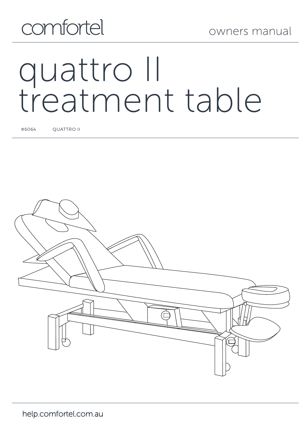

# quattro II treatment table

#6064 QUATTRO II

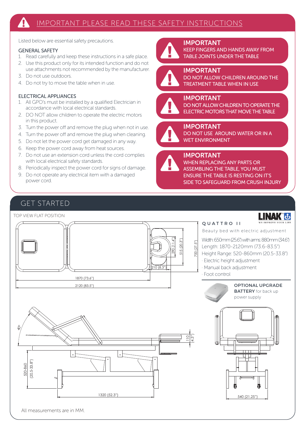Listed below are essential safety precautions.

#### GENERAL SAFETY

- 1. Read carefully and keep these instructions in a safe place.
- 2. Use this product only for its intended function and do not use attachments not recommended by the manufacturer.
- 3. Do not use outdoors.
- 4. Do not try to move the table when in use.

#### ELECTRICAL APPLIANCES

- 1. All GPO's must be installed by a qualified Electrician in accordance with local electrical standards.
- 2. DO NOT allow children to operate the electric motors in this product.
- 3. Turn the power off and remove the plug when not in use.
- 4. Turn the power off and remove the plug when cleaning.
- 5. Do not let the power cord get damaged in any way.
- 6. Keep the power cord away from heat sources.
- 7. Do not use an extension cord unless the cord complies with local electrical safety standards.
- 8. Periodically inspect the power cord for signs of damage.
- 9. Do not operate any electrical item with a damaged power cord.

IMPORTANT KEEP FINGERS AND HANDS AWAY FROM TABLE JOINTS UNDER THE TABLE



#### IMPORTANT DO NOT ALLOW CHILDREN AROUND THE

TREATMENT TABLE WHEN IN USE



#### IMPORTANT

DO NOT ALLOW CHILDREN TO OPERATE THE ELECTRIC MOTORS THAT MOVE THE TABLE



#### IMPORTANT DO NOT USE AROUND WATER OR IN A WET ENVIRONMENT



#### IMPORTANT

WHEN REPLACING ANY PARTS OR ASSEMBLING THE TABLE, YOU MUST ENSURE THE TABLE IS RESTING ON IT'S SIDE TO SAFEGUARD FROM CRUSH INJURY

## GET STARTED

#### TOP VIEW FLAT POSITION INAK<sup>e</sup>ds O U A T T R O II Beauty bed with electric adjustment 290 (11.4") Width: 650mm (25.6") with arms: 880mm (34.6") 515 (20.3") 700 (27.5") Length: 1870-2120mm (73.6-83.5")  $\overline{\phantom{a}}$  $\overline{\phantom{a}}$  700 Height Range: 520-860mm (20.5-33.8") · Electric height adjustment · Manual back adjustment 210 (8.3") Foot control  $\overline{1}$  1870 (73.6") OPTIONAL UPGRADE 2120 (83.5") **BATTERY** for back up power supply40° 110 (4.3") 15 30 100 100 280 30 (20.5-33.8") 20.5-33.8" 520-860 ٦ 115 115 1320 (52.3") 540 (21.25") **SIDE VIEW WAS SERVED** All measurements are in MM.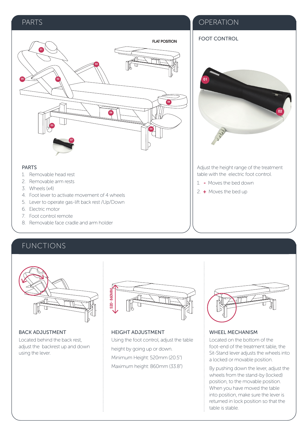#### PARTS **PARTS**

FOOT CONTROL

01



#### PARTS

- 1. Removable head rest
- 2. Removable arm rests
- 3. Wheels (x4)
- 4. Foot lever to activate movement of 4 wheels
- 5. Lever to operate gas-lift back rest /Up/Down
- 6. Electric motor
- 7. Foot control remote
- 8. Removable face cradle and arm holder

### FUNCTIONS



BACK ADJUSTMENT Located behind the back rest, adjust the backrest up and down using the lever.



HEIGHT ADJUSTMENT Using the foot control, adjust the table height by going up or down. Minimum Height: 520mm (20.5") Maximum height: 860mm (33.8")



Adjust the height range of the treatment table with the electric foot control. 1. - Moves the bed down 2. + Moves the bed up

02

#### WHEEL MECHANISM

Located on the bottom of the foot-end of the treatment table, the Sit-Stand lever adjusts the wheels into a locked or movable position.

By pushing down the lever, adjust the wheels from the stand-by (locked) position, to the movable position. When you have moved the table into position, make sure the lever is returned in lock position so that the table is stable.